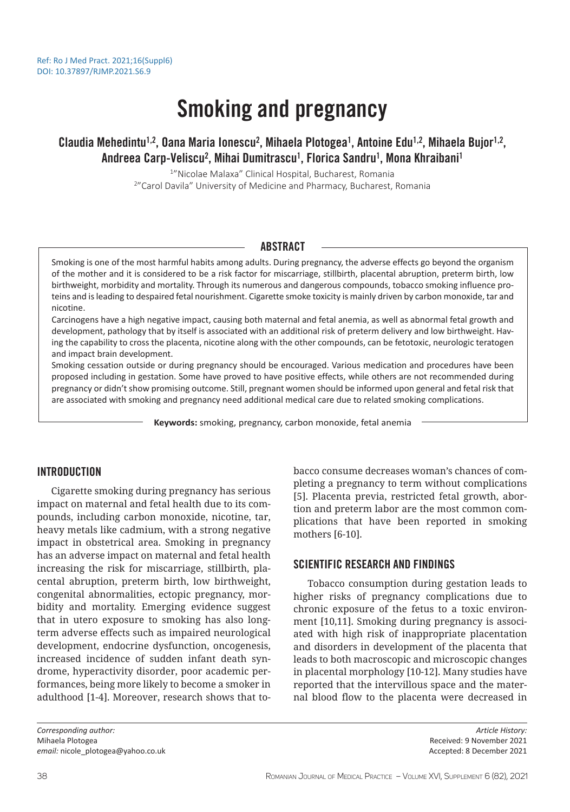# Smoking and pregnancy

# Claudia Mehedintu<sup>1,2</sup>, Oana Maria Ionescu<sup>2</sup>, Mihaela Plotogea<sup>1</sup>, Antoine Edu<sup>1,2</sup>, Mihaela Bujor<sup>1,2</sup>, Andreea Carp-Veliscu<sup>2</sup>, Mihai Dumitrascu<sup>1</sup>, Florica Sandru<sup>1</sup>, Mona Khraibani<sup>1</sup>

1 "Nicolae Malaxa" Clinical Hospital, Bucharest, Romania 2 "Carol Davila" University of Medicine and Pharmacy, Bucharest, Romania

## ABSTRACT

Smoking is one of the most harmful habits among adults. During pregnancy, the adverse effects go beyond the organism of the mother and it is considered to be a risk factor for miscarriage, stillbirth, placental abruption, preterm birth, low birthweight, morbidity and mortality. Through its numerous and dangerous compounds, tobacco smoking influence proteins and is leading to despaired fetal nourishment. Cigarette smoke toxicity is mainly driven by carbon monoxide, tar and nicotine.

Carcinogens have a high negative impact, causing both maternal and fetal anemia, as well as abnormal fetal growth and development, pathology that by itself is associated with an additional risk of preterm delivery and low birthweight. Having the capability to cross the placenta, nicotine along with the other compounds, can be fetotoxic, neurologic teratogen and impact brain development.

Smoking cessation outside or during pregnancy should be encouraged. Various medication and procedures have been proposed including in gestation. Some have proved to have positive effects, while others are not recommended during pregnancy or didn't show promising outcome. Still, pregnant women should be informed upon general and fetal risk that are associated with smoking and pregnancy need additional medical care due to related smoking complications.

**Keywords:** smoking, pregnancy, carbon monoxide, fetal anemia

## INTRODUCTION

Cigarette smoking during pregnancy has serious impact on maternal and fetal health due to its compounds, including carbon monoxide, nicotine, tar, heavy metals like cadmium, with a strong negative impact in obstetrical area. Smoking in pregnancy has an adverse impact on maternal and fetal health increasing the risk for miscarriage, stillbirth, placental abruption, preterm birth, low birthweight, congenital abnormalities, ectopic pregnancy, morbidity and mortality. Emerging evidence suggest that in utero exposure to smoking has also longterm adverse effects such as impaired neurological development, endocrine dysfunction, oncogenesis, increased incidence of sudden infant death syndrome, hyperactivity disorder, poor academic performances, being more likely to become a smoker in adulthood [1-4]. Moreover, research shows that to-

*Corresponding author:*  Mihaela Plotogea *email:* nicole\_plotogea@yahoo.co.uk bacco consume decreases woman's chances of completing a pregnancy to term without complications [5]. Placenta previa, restricted fetal growth, abortion and preterm labor are the most common complications that have been reported in smoking mothers [6-10].

## SCIENTIFIC RESEARCH AND FINDINGS

Tobacco consumption during gestation leads to higher risks of pregnancy complications due to chronic exposure of the fetus to a toxic environment [10,11]. Smoking during pregnancy is associated with high risk of inappropriate placentation and disorders in development of the placenta that leads to both macroscopic and microscopic changes in placental morphology [10-12]. Many studies have reported that the intervillous space and the maternal blood flow to the placenta were decreased in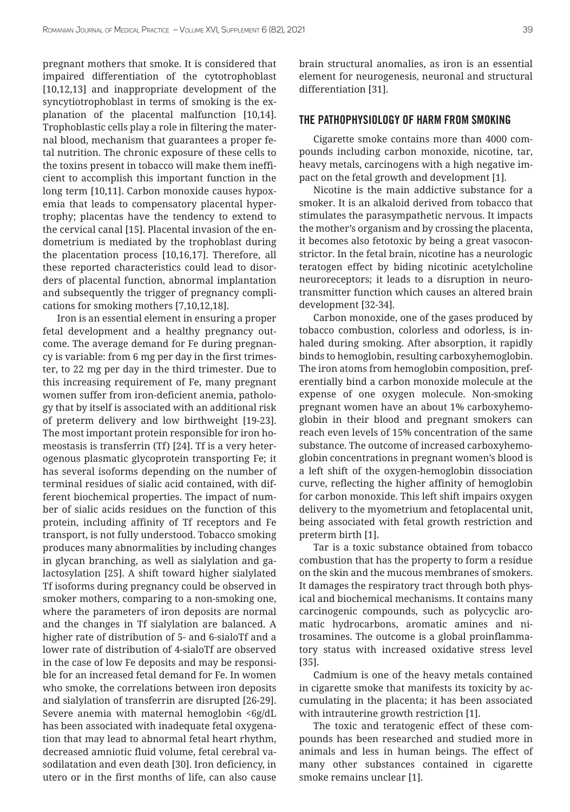pregnant mothers that smoke. It is considered that impaired differentiation of the cytotrophoblast [10,12,13] and inappropriate development of the syncytiotrophoblast in terms of smoking is the explanation of the placental malfunction [10,14]. Trophoblastic cells play a role in filtering the maternal blood, mechanism that guarantees a proper fetal nutrition. The chronic exposure of these cells to the toxins present in tobacco will make them inefficient to accomplish this important function in the long term [10,11]. Carbon monoxide causes hypoxemia that leads to compensatory placental hypertrophy; placentas have the tendency to extend to the cervical canal [15]. Placental invasion of the endometrium is mediated by the trophoblast during the placentation process [10,16,17]. Therefore, all these reported characteristics could lead to disorders of placental function, abnormal implantation and subsequently the trigger of pregnancy complications for smoking mothers [7,10,12,18].

Iron is an essential element in ensuring a proper fetal development and a healthy pregnancy outcome. The average demand for Fe during pregnancy is variable: from 6 mg per day in the first trimester, to 22 mg per day in the third trimester. Due to this increasing requirement of Fe, many pregnant women suffer from iron-deficient anemia, pathology that by itself is associated with an additional risk of preterm delivery and low birthweight [19-23]. The most important protein responsible for iron homeostasis is transferrin (Tf) [24]. Tf is a very heterogenous plasmatic glycoprotein transporting Fe; it has several isoforms depending on the number of terminal residues of sialic acid contained, with different biochemical properties. The impact of number of sialic acids residues on the function of this protein, including affinity of Tf receptors and Fe transport, is not fully understood. Tobacco smoking produces many abnormalities by including changes in glycan branching, as well as sialylation and galactosylation [25]. A shift toward higher sialylated Tf isoforms during pregnancy could be observed in smoker mothers, comparing to a non-smoking one, where the parameters of iron deposits are normal and the changes in Tf sialylation are balanced. A higher rate of distribution of 5- and 6-sialoTf and a lower rate of distribution of 4-sialoTf are observed in the case of low Fe deposits and may be responsible for an increased fetal demand for Fe. In women who smoke, the correlations between iron deposits and sialylation of transferrin are disrupted [26-29]. Severe anemia with maternal hemoglobin <6g/dL has been associated with inadequate fetal oxygenation that may lead to abnormal fetal heart rhythm, decreased amniotic fluid volume, fetal cerebral vasodilatation and even death [30]. Iron deficiency, in utero or in the first months of life, can also cause

brain structural anomalies, as iron is an essential element for neurogenesis, neuronal and structural differentiation [31].

#### THE PATHOPHYSIOLOGY OF HARM FROM SMOKING

Cigarette smoke contains more than 4000 compounds including carbon monoxide, nicotine, tar, heavy metals, carcinogens with a high negative impact on the fetal growth and development [1].

Nicotine is the main addictive substance for a smoker. It is an alkaloid derived from tobacco that stimulates the parasympathetic nervous. It impacts the mother's organism and by crossing the placenta, it becomes also fetotoxic by being a great vasoconstrictor. In the fetal brain, nicotine has a neurologic teratogen effect by biding nicotinic acetylcholine neuroreceptors; it leads to a disruption in neurotransmitter function which causes an altered brain development [32-34].

Carbon monoxide, one of the gases produced by tobacco combustion, colorless and odorless, is inhaled during smoking. After absorption, it rapidly binds to hemoglobin, resulting carboxyhemoglobin. The iron atoms from hemoglobin composition, preferentially bind a carbon monoxide molecule at the expense of one oxygen molecule. Non-smoking pregnant women have an about 1% carboxyhemoglobin in their blood and pregnant smokers can reach even levels of 15% concentration of the same substance. The outcome of increased carboxyhemoglobin concentrations in pregnant women's blood is a left shift of the oxygen-hemoglobin dissociation curve, reflecting the higher affinity of hemoglobin for carbon monoxide. This left shift impairs oxygen delivery to the myometrium and fetoplacental unit, being associated with fetal growth restriction and preterm birth [1].

Tar is a toxic substance obtained from tobacco combustion that has the property to form a residue on the skin and the mucous membranes of smokers. It damages the respiratory tract through both physical and biochemical mechanisms. It contains many carcinogenic compounds, such as polycyclic aromatic hydrocarbons, aromatic amines and nitrosamines. The outcome is a global proinflammatory status with increased oxidative stress level [35].

Cadmium is one of the heavy metals contained in cigarette smoke that manifests its toxicity by accumulating in the placenta; it has been associated with intrauterine growth restriction [1].

The toxic and teratogenic effect of these compounds has been researched and studied more in animals and less in human beings. The effect of many other substances contained in cigarette smoke remains unclear [1].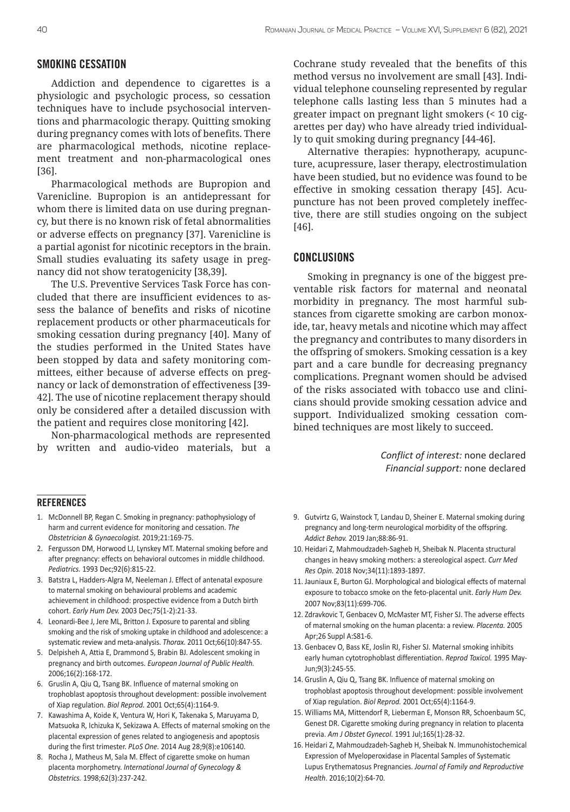#### SMOKING CESSATION

Addiction and dependence to cigarettes is a physiologic and psychologic process, so cessation techniques have to include psychosocial interventions and pharmacologic therapy. Quitting smoking during pregnancy comes with lots of benefits. There are pharmacological methods, nicotine replacement treatment and non-pharmacological ones [36].

Pharmacological methods are Bupropion and Varenicline. Bupropion is an antidepressant for whom there is limited data on use during pregnancy, but there is no known risk of fetal abnormalities or adverse effects on pregnancy [37]. Varenicline is a partial agonist for nicotinic receptors in the brain. Small studies evaluating its safety usage in pregnancy did not show teratogenicity [38,39].

The U.S. Preventive Services Task Force has concluded that there are insufficient evidences to assess the balance of benefits and risks of nicotine replacement products or other pharmaceuticals for smoking cessation during pregnancy [40]. Many of the studies performed in the United States have been stopped by data and safety monitoring committees, either because of adverse effects on pregnancy or lack of demonstration of effectiveness [39- 42]. The use of nicotine replacement therapy should only be considered after a detailed discussion with the patient and requires close monitoring [42].

Non-pharmacological methods are represented by written and audio-video materials, but a

Cochrane study revealed that the benefits of this method versus no involvement are small [43]. Individual telephone counseling represented by regular telephone calls lasting less than 5 minutes had a greater impact on pregnant light smokers (< 10 cigarettes per day) who have already tried individually to quit smoking during pregnancy [44-46].

Alternative therapies: hypnotherapy, acupuncture, acupressure, laser therapy, electrostimulation have been studied, but no evidence was found to be effective in smoking cessation therapy [45]. Acupuncture has not been proved completely ineffective, there are still studies ongoing on the subject [46].

#### CONCLUSIONS

Smoking in pregnancy is one of the biggest preventable risk factors for maternal and neonatal morbidity in pregnancy. The most harmful substances from cigarette smoking are carbon monoxide, tar, heavy metals and nicotine which may affect the pregnancy and contributes to many disorders in the offspring of smokers. Smoking cessation is a key part and a care bundle for decreasing pregnancy complications. Pregnant women should be advised of the risks associated with tobacco use and clinicians should provide smoking cessation advice and support. Individualized smoking cessation combined techniques are most likely to succeed.

> *Conflict of interest:* none declared *Financial support:* none declared

#### **REFERENCES**

- 1. McDonnell BP, Regan C. Smoking in pregnancy: pathophysiology of harm and current evidence for monitoring and cessation. *The Obstetrician & Gynaecologist.* 2019;21:169-75.
- 2. Fergusson DM, Horwood LJ, Lynskey MT. Maternal smoking before and after pregnancy: effects on behavioral outcomes in middle childhood. *Pediatrics.* 1993 Dec;92(6):815-22.
- 3. Batstra L, Hadders-Algra M, Neeleman J. Effect of antenatal exposure to maternal smoking on behavioural problems and academic achievement in childhood: prospective evidence from a Dutch birth cohort. *Early Hum Dev.* 2003 Dec;75(1-2):21-33.
- 4. Leonardi-Bee J, Jere ML, Britton J. Exposure to parental and sibling smoking and the risk of smoking uptake in childhood and adolescence: a systematic review and meta-analysis. *Thorax.* 2011 Oct;66(10):847-55.
- 5. Delpisheh A, Attia E, Drammond S, Brabin BJ. Adolescent smoking in pregnancy and birth outcomes. *European Journal of Public Health.* 2006;16(2):168-172.
- 6. Gruslin A, Qiu Q, Tsang BK. Influence of maternal smoking on trophoblast apoptosis throughout development: possible involvement of Xiap regulation. *Biol Reprod.* 2001 Oct;65(4):1164-9.
- 7. Kawashima A, Koide K, Ventura W, Hori K, Takenaka S, Maruyama D, Matsuoka R, Ichizuka K, Sekizawa A. Effects of maternal smoking on the placental expression of genes related to angiogenesis and apoptosis during the first trimester. *PLoS One.* 2014 Aug 28;9(8):e106140.
- 8. Rocha J, Matheus M, Sala M. Effect of cigarette smoke on human placenta morphometry. *International Journal of Gynecology & Obstetrics.* 1998;62(3):237-242.
- 9. Gutvirtz G, Wainstock T, Landau D, Sheiner E. Maternal smoking during pregnancy and long-term neurological morbidity of the offspring. *Addict Behav.* 2019 Jan;88:86-91.
- 10. Heidari Z, Mahmoudzadeh-Sagheb H, Sheibak N. Placenta structural changes in heavy smoking mothers: a stereological aspect. *Curr Med Res Opin.* 2018 Nov;34(11):1893-1897.
- 11. Jauniaux E, Burton GJ. Morphological and biological effects of maternal exposure to tobacco smoke on the feto-placental unit. *Early Hum Dev.*  2007 Nov;83(11):699-706.
- 12. Zdravkovic T, Genbacev O, McMaster MT, Fisher SJ. The adverse effects of maternal smoking on the human placenta: a review. *Placenta.* 2005 Apr;26 Suppl A:S81-6.
- 13. Genbacev O, Bass KE, Joslin RJ, Fisher SJ. Maternal smoking inhibits early human cytotrophoblast differentiation. *Reprod Toxicol.* 1995 May-Jun;9(3):245-55.
- 14. Gruslin A, Qiu Q, Tsang BK. Influence of maternal smoking on trophoblast apoptosis throughout development: possible involvement of Xiap regulation. *Biol Reprod.* 2001 Oct;65(4):1164-9.
- 15. Williams MA, Mittendorf R, Lieberman E, Monson RR, Schoenbaum SC, Genest DR. Cigarette smoking during pregnancy in relation to placenta previa. *Am J Obstet Gynecol.* 1991 Jul;165(1):28-32.
- 16. Heidari Z, Mahmoudzadeh-Sagheb H, Sheibak N. Immunohistochemical Expression of Myeloperoxidase in Placental Samples of Systematic Lupus Erythematosus Pregnancies. *Journal of Family and Reproductive Health*. 2016;10(2):64-70.